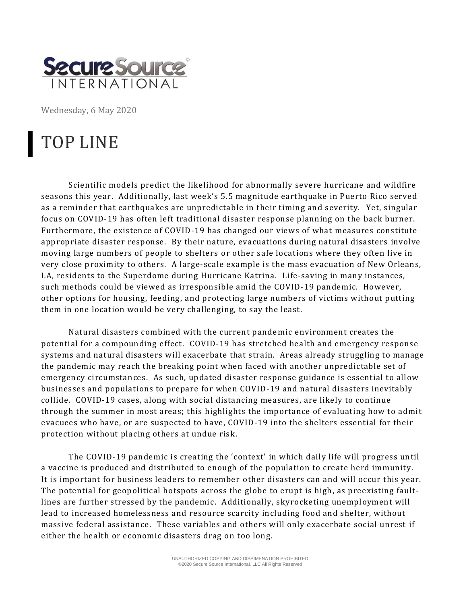

Wednesday, 6 May 2020

## TOP LINE

Scientific models predict the likelihood for abnormally severe hurricane and wildfire seasons this year. Additionally, last week's 5.5 magnitude earthquake in Puerto Rico served as a reminder that earthquakes are unpredictable in their timing and severity. Yet, singular focus on COVID-19 has often left traditional disaster response planning on the back burner. Furthermore, the existence of COVID-19 has changed our views of what measures constitute appropriate disaster response. By their nature, evacuations during natural disasters involve moving large numbers of people to shelters or other safe locations where they often live in very close proximity to others. A large-scale example is the mass evacuation of New Orleans, LA, residents to the Superdome during Hurricane Katrina. Life-saving in many instances, such methods could be viewed as irresponsible amid the COVID-19 pandemic. However, other options for housing, feeding, and protecting large numbers of victims without putting them in one location would be very challenging, to say the least.

Natural disasters combined with the current pandemic environment creates the potential for a compounding effect. COVID-19 has stretched health and emergency response systems and natural disasters will exacerbate that strain. Areas already struggling to manage the pandemic may reach the breaking point when faced with another unpredictable set of emergency circumstances. As such, updated disaster response guidance is essential to allow businesses and populations to prepare for when COVID-19 and natural disasters inevitably collide. COVID-19 cases, along with social distancing measures, are likely to continue through the summer in most areas; this highlights the importance of evaluating how to admit evacuees who have, or are suspected to have, COVID-19 into the shelters essential for their protection without placing others at undue risk.

The COVID-19 pandemic is creating the 'context' in which daily life will progress until a vaccine is produced and distributed to enough of the population to create herd immunity. It is important for business leaders to remember other disasters can and will occur this year. The potential for geopolitical hotspots across the globe to erupt is high, as preexisting faultlines are further stressed by the pandemic. Additionally, skyrocketing unemployment will lead to increased homelessness and resource scarcity including food and shelter, without massive federal assistance. These variables and others will only exacerbate social unrest if either the health or economic disasters drag on too long.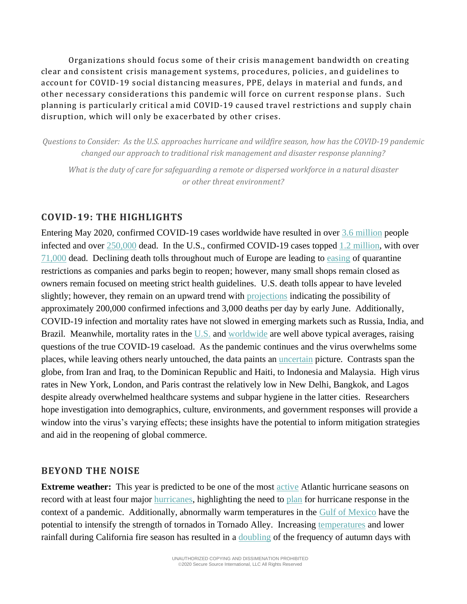Organizations should focus some of their crisis management bandwidth on creating clear and consistent crisis management systems, procedures, policies , and guidelines to account for COVID-19 social distancing measures, PPE, delays in material and funds, and other necessary considerations this pandemic will force on current response plans . Such planning is particularly critical amid COVID-19 caused travel restrictions and supply chain disruption, which will only be exacerbated by other crises.

*Questions to Consider: As the U.S. approaches hurricane and wildfire season, how has the COVID-19 pandemic changed our approach to traditional risk management and disaster response planning?* 

*What is the duty of care for safeguarding a remote or dispersed workforce in a natural disaster or other threat environment?*

## **COVID-19: THE HIGHLIGHTS**

Entering May 2020, confirmed COVID-19 cases worldwide have resulted in over [3.6](https://coronavirus.jhu.edu/map.html) million people infected and over [250,000](https://coronavirus.jhu.edu/map.html) dead. In the U.S., confirmed COVID-19 cases topped [1.2](https://coronavirus.jhu.edu/map.html) million, with over [71,000](https://coronavirus.jhu.edu/map.html) dead. Declining death tolls throughout much of Europe are leading to [easing](https://apnews.com/4f6aea856c17944f115468a68ccc9d71?utm_source=piano&utm_medium=email&utm_campaign=morningwire&pnespid=iuBkrOdKABCNJHjBSQkDxRNp0JyhMLNv4cOFqe44) of quarantine restrictions as companies and parks begin to reopen; however, many small shops remain closed as owners remain focused on meeting strict health guidelines. U.S. death tolls appear to have leveled slightly; however, they remain on an upward trend with [projections](https://www.nytimes.com/2020/05/04/us/coronavirus-updates.html?campaign_id=60&emc=edit_na_20200504&instance_id=0&nl=breaking-news&ref=headline®i_id=125234924&segment_id=26577&user_id=ef951501096fac815b2c4160edd0a3b8#link-7b42d0f5) indicating the possibility of approximately 200,000 confirmed infections and 3,000 deaths per day by early June. Additionally, COVID-19 infection and mortality rates have not slowed in emerging markets such as Russia, India, and Brazil. Meanwhile, mortality rates in the [U.S.](https://www.washingtonpost.com/investigations/2020/05/02/excess-deaths-during-covid-19/?arc404=true) and [worldwide](https://www.ft.com/coronavirus-latest?campaign_id=9&emc=edit_nn_20200504&instance_id=18202&nl=the-morning®i_id=125234924&segment_id=26556&te=1&user_id=ef951501096fac815b2c4160edd0a3b8) are well above typical averages, raising questions of the true COVID-19 caseload. As the pandemic continues and the virus overwhelms some places, while leaving others nearly untouched, the data paints an [uncertain](https://www.nytimes.com/2020/05/03/world/asia/coronavirus-spread-where-why.html?campaign_id=29&emc=edit_up_20200504&instance_id=18207&nl=the-upshot®i_id=125234924&segment_id=26571&te=1&user_id=ef951501096fac815b2c4160edd0a3b8) picture. Contrasts span the globe, from Iran and Iraq, to the Dominican Republic and Haiti, to Indonesia and Malaysia. High virus rates in New York, London, and Paris contrast the relatively low in New Delhi, Bangkok, and Lagos despite already overwhelmed healthcare systems and subpar hygiene in the latter cities. Researchers hope investigation into demographics, culture, environments, and government responses will provide a window into the virus's varying effects; these insights have the potential to inform mitigation strategies and aid in the reopening of global commerce.

## **BEYOND THE NOISE**

**Extreme weather:** This year is predicted to be one of the most [active](https://www.salon.com/2020/05/03/dont-look-now-but-the-2020-atlantic-hurricane-season-could-break-records_partner/) Atlantic hurricane seasons on record with at least four major [hurricanes,](https://www.cnn.com/2020/04/02/weather/2020-atlantic-hurricane-season/index.html) highlighting the need to [plan](https://www.vox.com/2020/4/21/21222687/coronavirus-covid-19-hurricane-planning-preparedness-emergency-managers-disaster) for hurricane response in the context of a pandemic. Additionally, abnormally warm temperatures in the [Gulf of Mexico](https://www.severe-weather.eu/global-weather/global-ocean-analysis-seasonal-impact-fa/?fbclid=IwAR302altFLsoF1M2c_2cJOabwYNMKNfTuk1DCsTgZu6kDqn04FkVM_IAxug) have the potential to intensify the strength of tornados in Tornado Alley. Increasing [temperatures](http://berkeleyearth.lbl.gov/downloads/CaliforniaFire.gif?fbclid=IwAR3wZdvD8TlatO4OdtAnL5qRN20RED8HgwRPNjpy5e_gyxsmCn0X-b4Vzsk) and lower rainfall during California fire season has resulted in a [doubling](https://www.cbsnews.com/news/climate-change-has-doubled-extreme-fire-weather-days-in-california-2020-04-07/) of the frequency of autumn days with